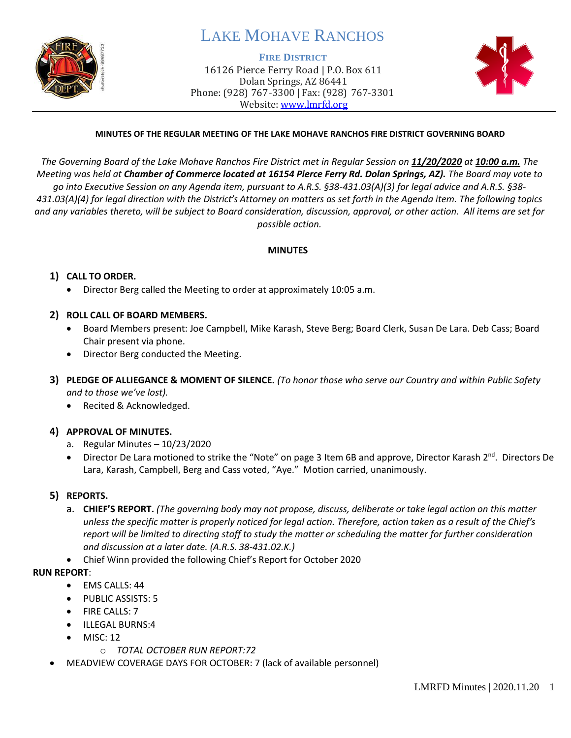

# LAKE MOHAVE RANCHOS

#### **FIRE DISTRICT**

16126 Pierce Ferry Road | P.O. Box 611 Dolan Springs, AZ 86441 Phone: (928) 767-3300 | Fax: (928) 767-3301 Website: [www.lmrfd.org](http://www.lmrfd.org/)



### **MINUTES OF THE REGULAR MEETING OF THE LAKE MOHAVE RANCHOS FIRE DISTRICT GOVERNING BOARD**

*The Governing Board of the Lake Mohave Ranchos Fire District met in Regular Session on 11/20/2020 at 10:00 a.m. The Meeting was held at Chamber of Commerce located at 16154 Pierce Ferry Rd. Dolan Springs, AZ). The Board may vote to go into Executive Session on any Agenda item, pursuant to A.R.S. §38-431.03(A)(3) for legal advice and A.R.S. §38- 431.03(A)(4) for legal direction with the District's Attorney on matters as set forth in the Agenda item. The following topics and any variables thereto, will be subject to Board consideration, discussion, approval, or other action. All items are set for possible action.*

#### **MINUTES**

#### **1) CALL TO ORDER.**

• Director Berg called the Meeting to order at approximately 10:05 a.m.

#### **2) ROLL CALL OF BOARD MEMBERS.**

- Board Members present: Joe Campbell, Mike Karash, Steve Berg; Board Clerk, Susan De Lara. Deb Cass; Board Chair present via phone.
- Director Berg conducted the Meeting.
- **3) PLEDGE OF ALLIEGANCE & MOMENT OF SILENCE.** *(To honor those who serve our Country and within Public Safety and to those we've lost).*
	- Recited & Acknowledged.
- **4) APPROVAL OF MINUTES.** 
	- a. Regular Minutes 10/23/2020
	- Director De Lara motioned to strike the "Note" on page 3 Item 6B and approve, Director Karash 2<sup>nd</sup>. Directors De Lara, Karash, Campbell, Berg and Cass voted, "Aye." Motion carried, unanimously.

#### **5) REPORTS.**

- a. **CHIEF'S REPORT.** *(The governing body may not propose, discuss, deliberate or take legal action on this matter unless the specific matter is properly noticed for legal action. Therefore, action taken as a result of the Chief's report will be limited to directing staff to study the matter or scheduling the matter for further consideration and discussion at a later date. (A.R.S. 38-431.02.K.)*
- Chief Winn provided the following Chief's Report for October 2020

#### **RUN REPORT**:

- EMS CALLS: 44
- PUBLIC ASSISTS: 5
- **FIRE CALLS: 7**
- ILLEGAL BURNS:4
- $MISC: 12$ 
	- o *TOTAL OCTOBER RUN REPORT:72*
- MEADVIEW COVERAGE DAYS FOR OCTOBER: 7 (lack of available personnel)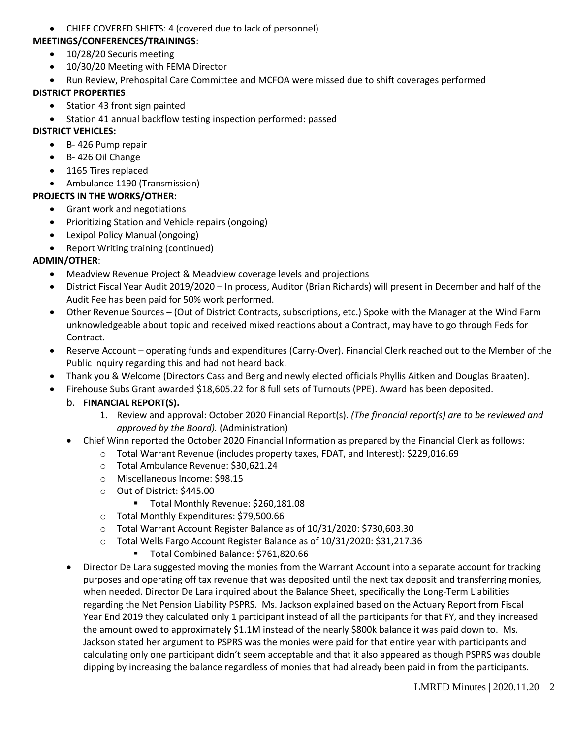• CHIEF COVERED SHIFTS: 4 (covered due to lack of personnel)

#### **MEETINGS/CONFERENCES/TRAININGS**:

- 10/28/20 Securis meeting
- 10/30/20 Meeting with FEMA Director
- Run Review, Prehospital Care Committee and MCFOA were missed due to shift coverages performed

## **DISTRICT PROPERTIES**:

- Station 43 front sign painted
- Station 41 annual backflow testing inspection performed: passed

## **DISTRICT VEHICLES:**

- B- 426 Pump repair
- B- 426 Oil Change
- 1165 Tires replaced
- Ambulance 1190 (Transmission)

# **PROJECTS IN THE WORKS/OTHER:**

- Grant work and negotiations
- Prioritizing Station and Vehicle repairs (ongoing)
- Lexipol Policy Manual (ongoing)
- Report Writing training (continued)

# **ADMIN/OTHER**:

- Meadview Revenue Project & Meadview coverage levels and projections
- District Fiscal Year Audit 2019/2020 In process, Auditor (Brian Richards) will present in December and half of the Audit Fee has been paid for 50% work performed.
- Other Revenue Sources (Out of District Contracts, subscriptions, etc.) Spoke with the Manager at the Wind Farm unknowledgeable about topic and received mixed reactions about a Contract, may have to go through Feds for Contract.
- Reserve Account operating funds and expenditures (Carry-Over). Financial Clerk reached out to the Member of the Public inquiry regarding this and had not heard back.
- Thank you & Welcome (Directors Cass and Berg and newly elected officials Phyllis Aitken and Douglas Braaten).
- Firehouse Subs Grant awarded \$18,605.22 for 8 full sets of Turnouts (PPE). Award has been deposited.

# b. **FINANCIAL REPORT(S).**

- 1. Review and approval: October 2020 Financial Report(s). *(The financial report(s) are to be reviewed and approved by the Board).* (Administration)
- Chief Winn reported the October 2020 Financial Information as prepared by the Financial Clerk as follows:
	- o Total Warrant Revenue (includes property taxes, FDAT, and Interest): \$229,016.69
	- o Total Ambulance Revenue: \$30,621.24
	- o Miscellaneous Income: \$98.15
	- o Out of District: \$445.00
		- Total Monthly Revenue: \$260,181.08
	- o Total Monthly Expenditures: \$79,500.66
	- o Total Warrant Account Register Balance as of 10/31/2020: \$730,603.30
	- o Total Wells Fargo Account Register Balance as of 10/31/2020: \$31,217.36
		- Total Combined Balance: \$761,820.66
- Director De Lara suggested moving the monies from the Warrant Account into a separate account for tracking purposes and operating off tax revenue that was deposited until the next tax deposit and transferring monies, when needed. Director De Lara inquired about the Balance Sheet, specifically the Long-Term Liabilities regarding the Net Pension Liability PSPRS. Ms. Jackson explained based on the Actuary Report from Fiscal Year End 2019 they calculated only 1 participant instead of all the participants for that FY, and they increased the amount owed to approximately \$1.1M instead of the nearly \$800k balance it was paid down to. Ms. Jackson stated her argument to PSPRS was the monies were paid for that entire year with participants and calculating only one participant didn't seem acceptable and that it also appeared as though PSPRS was double dipping by increasing the balance regardless of monies that had already been paid in from the participants.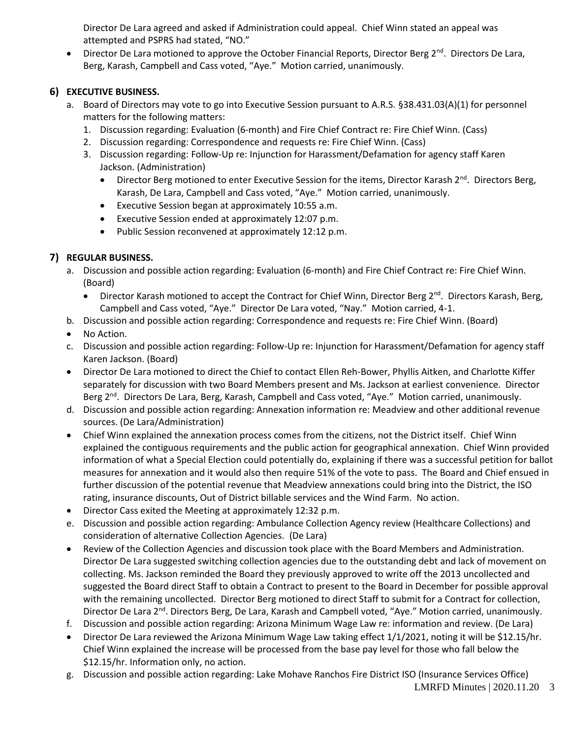Director De Lara agreed and asked if Administration could appeal. Chief Winn stated an appeal was attempted and PSPRS had stated, "NO."

• Director De Lara motioned to approve the October Financial Reports, Director Berg 2<sup>nd</sup>. Directors De Lara, Berg, Karash, Campbell and Cass voted, "Aye." Motion carried, unanimously.

# **6) EXECUTIVE BUSINESS.**

- a. Board of Directors may vote to go into Executive Session pursuant to A.R.S. §38.431.03(A)(1) for personnel matters for the following matters:
	- 1. Discussion regarding: Evaluation (6-month) and Fire Chief Contract re: Fire Chief Winn. (Cass)
	- 2. Discussion regarding: Correspondence and requests re: Fire Chief Winn. (Cass)
	- 3. Discussion regarding: Follow-Up re: Injunction for Harassment/Defamation for agency staff Karen Jackson. (Administration)
		- Director Berg motioned to enter Executive Session for the items, Director Karash  $2^{nd}$ . Directors Berg, Karash, De Lara, Campbell and Cass voted, "Aye." Motion carried, unanimously.
		- Executive Session began at approximately 10:55 a.m.
		- Executive Session ended at approximately 12:07 p.m.
		- Public Session reconvened at approximately 12:12 p.m.

# **7) REGULAR BUSINESS.**

- a. Discussion and possible action regarding: Evaluation (6-month) and Fire Chief Contract re: Fire Chief Winn. (Board)
	- Director Karash motioned to accept the Contract for Chief Winn, Director Berg 2<sup>nd</sup>. Directors Karash, Berg, Campbell and Cass voted, "Aye." Director De Lara voted, "Nay." Motion carried, 4-1.
- b. Discussion and possible action regarding: Correspondence and requests re: Fire Chief Winn. (Board)
- No Action.
- c. Discussion and possible action regarding: Follow-Up re: Injunction for Harassment/Defamation for agency staff Karen Jackson. (Board)
- Director De Lara motioned to direct the Chief to contact Ellen Reh-Bower, Phyllis Aitken, and Charlotte Kiffer separately for discussion with two Board Members present and Ms. Jackson at earliest convenience. Director Berg 2<sup>nd</sup>. Directors De Lara, Berg, Karash, Campbell and Cass voted, "Aye." Motion carried, unanimously.
- d. Discussion and possible action regarding: Annexation information re: Meadview and other additional revenue sources. (De Lara/Administration)
- Chief Winn explained the annexation process comes from the citizens, not the District itself. Chief Winn explained the contiguous requirements and the public action for geographical annexation. Chief Winn provided information of what a Special Election could potentially do, explaining if there was a successful petition for ballot measures for annexation and it would also then require 51% of the vote to pass. The Board and Chief ensued in further discussion of the potential revenue that Meadview annexations could bring into the District, the ISO rating, insurance discounts, Out of District billable services and the Wind Farm. No action.
- Director Cass exited the Meeting at approximately 12:32 p.m.
- e. Discussion and possible action regarding: Ambulance Collection Agency review (Healthcare Collections) and consideration of alternative Collection Agencies. (De Lara)
- Review of the Collection Agencies and discussion took place with the Board Members and Administration. Director De Lara suggested switching collection agencies due to the outstanding debt and lack of movement on collecting. Ms. Jackson reminded the Board they previously approved to write off the 2013 uncollected and suggested the Board direct Staff to obtain a Contract to present to the Board in December for possible approval with the remaining uncollected. Director Berg motioned to direct Staff to submit for a Contract for collection, Director De Lara 2<sup>nd</sup>. Directors Berg, De Lara, Karash and Campbell voted, "Aye." Motion carried, unanimously.
- f. Discussion and possible action regarding: Arizona Minimum Wage Law re: information and review. (De Lara)
- Director De Lara reviewed the Arizona Minimum Wage Law taking effect 1/1/2021, noting it will be \$12.15/hr. Chief Winn explained the increase will be processed from the base pay level for those who fall below the \$12.15/hr. Information only, no action.
- g. Discussion and possible action regarding: Lake Mohave Ranchos Fire District ISO (Insurance Services Office)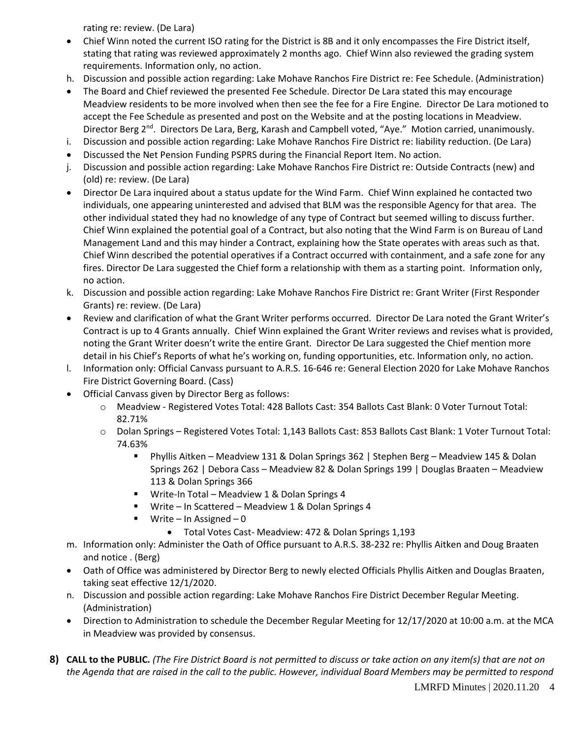rating re: review. (De Lara)

- Chief Winn noted the current ISO rating for the District is 8B and it only encompasses the Fire District itself, stating that rating was reviewed approximately 2 months ago. Chief Winn also reviewed the grading system requirements. Information only, no action.
- h. Discussion and possible action regarding: Lake Mohave Ranchos Fire District re: Fee Schedule. (Administration)
- The Board and Chief reviewed the presented Fee Schedule. Director De Lara stated this may encourage Meadview residents to be more involved when then see the fee for a Fire Engine. Director De Lara motioned to accept the Fee Schedule as presented and post on the Website and at the posting locations in Meadview. Director Berg 2<sup>nd</sup>. Directors De Lara, Berg, Karash and Campbell voted, "Aye." Motion carried, unanimously.
- i. Discussion and possible action regarding: Lake Mohave Ranchos Fire District re: liability reduction. (De Lara)
- Discussed the Net Pension Funding PSPRS during the Financial Report Item. No action.
- j. Discussion and possible action regarding: Lake Mohave Ranchos Fire District re: Outside Contracts (new) and (old) re: review. (De Lara)
- Director De Lara inquired about a status update for the Wind Farm. Chief Winn explained he contacted two individuals, one appearing uninterested and advised that BLM was the responsible Agency for that area. The other individual stated they had no knowledge of any type of Contract but seemed willing to discuss further. Chief Winn explained the potential goal of a Contract, but also noting that the Wind Farm is on Bureau of Land Management Land and this may hinder a Contract, explaining how the State operates with areas such as that. Chief Winn described the potential operatives if a Contract occurred with containment, and a safe zone for any fires. Director De Lara suggested the Chief form a relationship with them as a starting point. Information only, no action.
- k. Discussion and possible action regarding: Lake Mohave Ranchos Fire District re: Grant Writer (First Responder Grants) re: review. (De Lara)
- Review and clarification of what the Grant Writer performs occurred. Director De Lara noted the Grant Writer's Contract is up to 4 Grants annually. Chief Winn explained the Grant Writer reviews and revises what is provided, noting the Grant Writer doesn't write the entire Grant. Director De Lara suggested the Chief mention more detail in his Chief's Reports of what he's working on, funding opportunities, etc. Information only, no action.
- l. Information only: Official Canvass pursuant to A.R.S. 16-646 re: General Election 2020 for Lake Mohave Ranchos Fire District Governing Board. (Cass)
- Official Canvass given by Director Berg as follows:
	- o Meadview Registered Votes Total: 428 Ballots Cast: 354 Ballots Cast Blank: 0 Voter Turnout Total: 82.71%
	- o Dolan Springs Registered Votes Total: 1,143 Ballots Cast: 853 Ballots Cast Blank: 1 Voter Turnout Total: 74.63%
		- Phyllis Aitken Meadview 131 & Dolan Springs 362 | Stephen Berg Meadview 145 & Dolan Springs 262 | Debora Cass – Meadview 82 & Dolan Springs 199 | Douglas Braaten – Meadview 113 & Dolan Springs 366
		- Write-In Total Meadview 1 & Dolan Springs 4
		- Write In Scattered Meadview 1 & Dolan Springs 4
		- Write In Assigned 0
			- Total Votes Cast- Meadview: 472 & Dolan Springs 1,193
- m. Information only: Administer the Oath of Office pursuant to A.R.S. 38-232 re: Phyllis Aitken and Doug Braaten and notice . (Berg)
- Oath of Office was administered by Director Berg to newly elected Officials Phyllis Aitken and Douglas Braaten, taking seat effective 12/1/2020.
- n. Discussion and possible action regarding: Lake Mohave Ranchos Fire District December Regular Meeting. (Administration)
- Direction to Administration to schedule the December Regular Meeting for 12/17/2020 at 10:00 a.m. at the MCA in Meadview was provided by consensus.
- **8) CALL to the PUBLIC.** *(The Fire District Board is not permitted to discuss or take action on any item(s) that are not on the Agenda that are raised in the call to the public. However, individual Board Members may be permitted to respond*